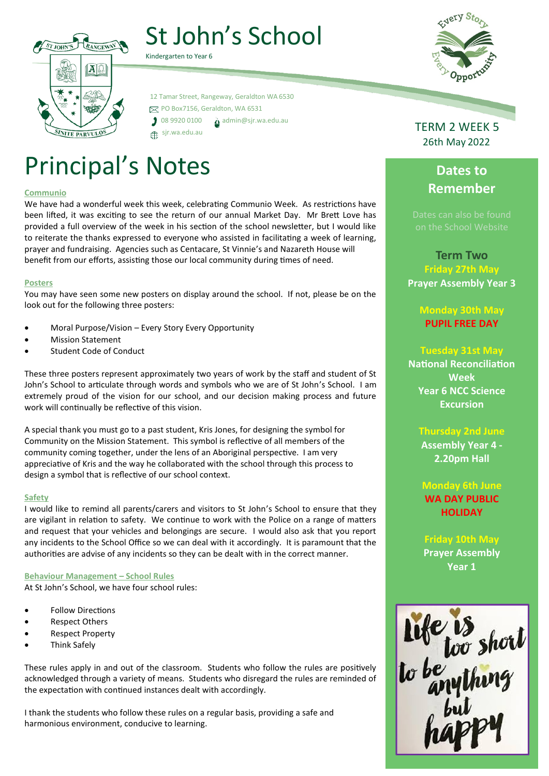

# St John's School

 12 Tamar Street, Rangeway, Geraldton WA 6530 PO Box7156, Geraldton, WA 6531  $\int$  08 9920 0100  $\Delta$  [admin@sjr.wa.edu.au](mailto:admin@sjr.wa.edu.au) sjr.wa.edu.au

# Principal's Notes

#### **Communio**

We have had a wonderful week this week, celebrating Communio Week. As restrictions have been lifted, it was exciting to see the return of our annual Market Day. Mr Brett Love has provided a full overview of the week in his section of the school newsletter, but I would like to reiterate the thanks expressed to everyone who assisted in facilitating a week of learning, prayer and fundraising. Agencies such as Centacare, St Vinnie's and Nazareth House will benefit from our efforts, assisting those our local community during times of need.

#### **Posters**

You may have seen some new posters on display around the school. If not, please be on the look out for the following three posters:

- Moral Purpose/Vision Every Story Every Opportunity
- Mission Statement
- Student Code of Conduct

These three posters represent approximately two years of work by the staff and student of St John's School to articulate through words and symbols who we are of St John's School. I am extremely proud of the vision for our school, and our decision making process and future work will continually be reflective of this vision.

A special thank you must go to a past student, Kris Jones, for designing the symbol for Community on the Mission Statement. This symbol is reflective of all members of the community coming together, under the lens of an Aboriginal perspective. I am very appreciative of Kris and the way he collaborated with the school through this process to design a symbol that is reflective of our school context.

#### **Safety**

I would like to remind all parents/carers and visitors to St John's School to ensure that they are vigilant in relation to safety. We continue to work with the Police on a range of matters and request that your vehicles and belongings are secure. I would also ask that you report any incidents to the School Office so we can deal with it accordingly. It is paramount that the authorities are advise of any incidents so they can be dealt with in the correct manner.

#### **Behaviour Management – School Rules**

At St John's School, we have four school rules:

- Follow Directions
- Respect Others
- Respect Property
- Think Safely

These rules apply in and out of the classroom. Students who follow the rules are positively acknowledged through a variety of means. Students who disregard the rules are reminded of the expectation with continued instances dealt with accordingly.

I thank the students who follow these rules on a regular basis, providing a safe and harmonious environment, conducive to learning.



# **Dates to Remember**

**Term Two Friday 27th May Prayer Assembly Year 3**

**Monday 30th May PUPIL FREE DAY**

### **Tuesday 31st May**

**National Reconciliation Week Year 6 NCC Science Excursion** 

#### **Thursday 2nd June**

**Assembly Year 4 - 2.20pm Hall**

**Monday 6th June WA DAY PUBLIC HOLIDAY**

**Friday 10th May Prayer Assembly Year 1**



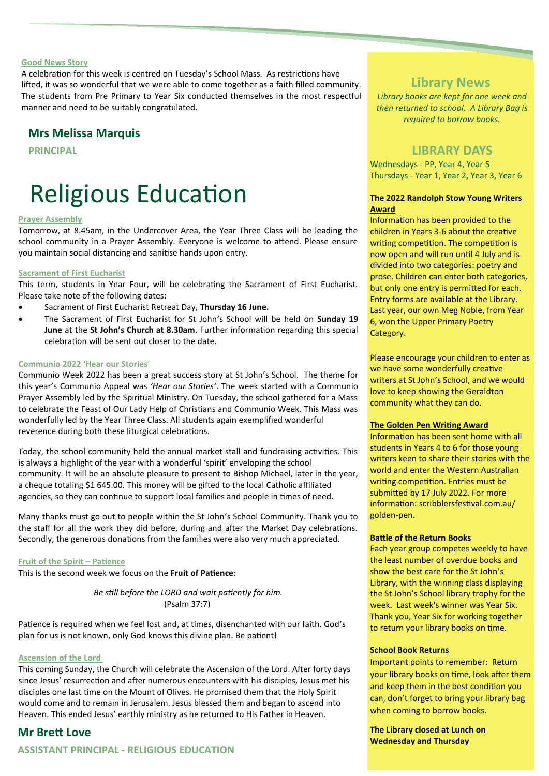#### **Good News Story**

A celebration for this week is centred on Tuesday's School Mass. As restrictions have lifted, it was so wonderful that we were able to come together as a faith filled community. The students from Pre Primary to Year Six conducted themselves in the most respectful manner and need to be suitably congratulated.

### **Mrs Melissa Marquis**

**PRINCIPAL**

# Religious Education

#### **Prayer Assembly**

Tomorrow, at 8.45am, in the Undercover Area, the Year Three Class will be leading the school community in a Prayer Assembly. Everyone is welcome to attend. Please ensure you maintain social distancing and sanitise hands upon entry.

#### **Sacrament of First Eucharist**

This term, students in Year Four, will be celebrating the Sacrament of First Eucharist. Please take note of the following dates:

- Sacrament of First Eucharist Retreat Day, **Thursday 16 June.**
- The Sacrament of First Eucharist for St John's School will be held on **Sunday 19 June** at the **St John's Church at 8.30am**. Further information regarding this special celebration will be sent out closer to the date.

#### **Communio 2022 'Hear our Stories**'

Communio Week 2022 has been a great success story at St John's School. The theme for this year's Communio Appeal was *'Hear our Stories'*. The week started with a Communio Prayer Assembly led by the Spiritual Ministry. On Tuesday, the school gathered for a Mass to celebrate the Feast of Our Lady Help of Christians and Communio Week. This Mass was wonderfully led by the Year Three Class. All students again exemplified wonderful reverence during both these liturgical celebrations.

Today, the school community held the annual market stall and fundraising activities. This is always a highlight of the year with a wonderful 'spirit' enveloping the school community. It will be an absolute pleasure to present to Bishop Michael, later in the year, a cheque totaling \$1 645.00. This money will be gifted to the local Catholic affiliated agencies, so they can continue to support local families and people in times of need.

Many thanks must go out to people within the St John's School Community. Thank you to the staff for all the work they did before, during and after the Market Day celebrations. Secondly, the generous donations from the families were also very much appreciated.

#### **Fruit of the Spirit – Patience**

This is the second week we focus on the **Fruit of Patience**:

*Be still before the LORD and wait patiently for him.* (Psalm 37:7) 

Patience is required when we feel lost and, at times, disenchanted with our faith. God's plan for us is not known, only God knows this divine plan. Be patient!

#### **Ascension of the Lord**

This coming Sunday, the Church will celebrate the Ascension of the Lord. After forty days since Jesus' resurrection and after numerous encounters with his disciples, Jesus met his disciples one last time on the Mount of Olives. He promised them that the Holy Spirit would come and to remain in Jerusalem. Jesus blessed them and began to ascend into Heaven. This ended Jesus' earthly ministry as he returned to His Father in Heaven.

#### **Mr Brett Love**

### **ASSISTANT PRINCIPAL - RELIGIOUS EDUCATION**

## **Library News**

<u> a shekara t</u>

*Library books are kept for one week and then returned to school. A Library Bag is required to borrow books.*

## **LIBRARY DAYS**

Wednesdays - PP, Year 4, Year 5 Thursdays - Year 1, Year 2, Year 3, Year 6

#### **The 2022 Randolph Stow Young Writers Award**

Information has been provided to the children in Years 3-6 about the creative writing competition. The competition is now open and will run until 4 July and is divided into two categories: poetry and prose. Children can enter both categories, but only one entry is permitted for each. Entry forms are available at the Library. Last year, our own Meg Noble, from Year 6, won the Upper Primary Poetry Category.

Please encourage your children to enter as we have some wonderfully creative writers at St John's School, and we would love to keep showing the Geraldton community what they can do.

#### **The Golden Pen Writing Award**

Information has been sent home with all students in Years 4 to 6 for those young writers keen to share their stories with the world and enter the Western Australian writing competition. Entries must be submitted by 17 July 2022. For more information: scribblersfestival.com.au/ golden-pen.

#### **Battle of the Return Books**

Each year group competes weekly to have the least number of overdue books and show the best care for the St John's Library, with the winning class displaying the St John's School library trophy for the week. Last week's winner was Year Six. Thank you, Year Six for working together to return your library books on time.

#### **School Book Returns**

Important points to remember: Return your library books on time, look after them and keep them in the best condition you can, don't forget to bring your library bag when coming to borrow books.

**The Library closed at Lunch on Wednesday and Thursday**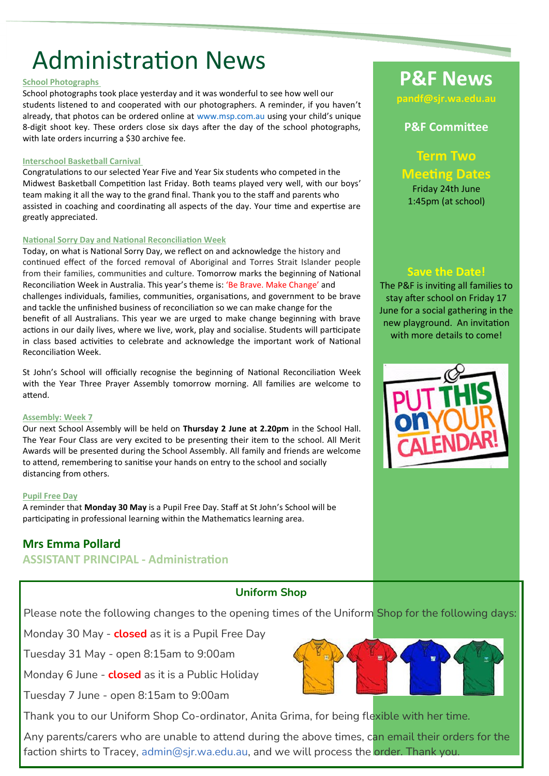# Administration News

#### **School Photographs**

School photographs took place yesterday and it was wonderful to see how well our students listened to and cooperated with our photographers. A reminder, if you haven't already, that photos can be ordered online at [www.msp.com.au](http://www.msp.com.au/) using your child's unique 8-digit shoot key. These orders close six days after the day of the school photographs, with late orders incurring a \$30 archive fee.

#### **Interschool Basketball Carnival**

Congratulations to our selected Year Five and Year Six students who competed in the Midwest Basketball Competition last Friday. Both teams played very well, with our boys' team making it all the way to the grand final. Thank you to the staff and parents who assisted in coaching and coordinating all aspects of the day. Your time and expertise are greatly appreciated.

#### **National Sorry Day and National Reconciliation Week**

Today, on what is National Sorry Day, we reflect on and acknowledge the history and continued effect of the forced removal of Aboriginal and Torres Strait Islander people from their families, communities and culture. Tomorrow marks the beginning of National Reconciliation Week in Australia. This year's theme is: 'Be Brave. Make Change' and challenges individuals, families, communities, organisations, and government to be brave and tackle the unfinished business of reconciliation so we can make change for the benefit of all Australians. This year we are urged to make change beginning with brave actions in our daily lives, where we live, work, play and socialise. Students will participate in class based activities to celebrate and acknowledge the important work of National Reconciliation Week.

St John's School will officially recognise the beginning of National Reconciliation Week with the Year Three Prayer Assembly tomorrow morning. All families are welcome to attend.

#### **Assembly: Week 7**

Our next School Assembly will be held on **Thursday 2 June at 2.20pm** in the School Hall. The Year Four Class are very excited to be presenting their item to the school. All Merit Awards will be presented during the School Assembly. All family and friends are welcome to attend, remembering to sanitise your hands on entry to the school and socially distancing from others.

#### **Pupil Free Day**

A reminder that **Monday 30 May** is a Pupil Free Day. Staff at St John's School will be participating in professional learning within the Mathematics learning area.

## **Mrs Emma Pollard**

## **ASSISTANT PRINCIPAL - Administration**

## **Uniform Shop**

Please note the following changes to the opening times of the Uniform Shop for the following days:

Monday 30 May - **closed** as it is a Pupil Free Day

Tuesday 31 May - open 8:15am to 9:00am

Monday 6 June - **closed** as it is a Public Holiday

Tuesday 7 June - open 8:15am to 9:00am

Thank you to our Uniform Shop Co-ordinator, Anita Grima, for being flexible with her time.

Any parents/carers who are unable to attend during the above times, can email their orders for the faction shirts to Tracey, [admin@sjr.wa.edu.au,](mailto:admin@sjr.wa.edu.au) and we will process the order. Thank you.

# **P&F News**

**pandf@sjr.wa.edu.au** 

## **P&F Committee**

**Term Two Meeting Dates** Friday 24th June

1:45pm (at school)

**Save the Date!** 

The P&F is inviting all families to stay after school on Friday 17 June for a social gathering in the new playground. An invitation with more details to come!



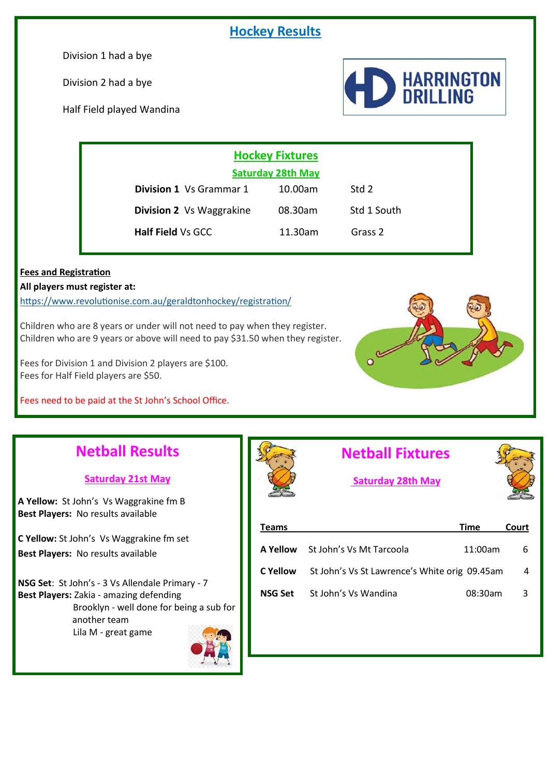# **Hockey Results**

Division 1 had a bye

Division 2 had a bye

Half Field played Wandina



|                                 | <b>Hockey Fixtures</b>   |                    |  |  |
|---------------------------------|--------------------------|--------------------|--|--|
|                                 | <b>Saturday 28th May</b> |                    |  |  |
| <b>Division 1</b> Vs Grammar 1  | 10.00am                  | Std 2              |  |  |
| <b>Division 2</b> Vs Waggrakine | 08.30am                  | Std 1 South        |  |  |
| <b>Half Field Vs GCC</b>        | 11.30am                  | Grass <sub>2</sub> |  |  |

### **Fees and Registration**

**All players must register at:**

[https://www.revolutionise.com.au/geraldtonhockey/registration/](https://aus01.safelinks.protection.outlook.com/?url=https%3A%2F%2Fwww.revolutionise.com.au%2Fgeraldtonhockey%2Fregistration%2F&data=02%7C01%7Cmw.hockey%40sportshouse.net.au%7C032fce418fff42449b0208d7bc19e10e%7Cc1ae0ae2d5044287b6f47eafd6648d22%7C0%7C1%7C637184)

Children who are 8 years or under will not need to pay when they register. Children who are 9 years or above will need to pay \$31.50 when they register.

Fees for Division 1 and Division 2 players are \$100. Fees for Half Field players are \$50.

Fees need to be paid at the St John's School Office.



# **Netball Results**

### **Saturday 21st May**

**A Yellow:** St John's Vs Waggrakine fm B **Best Players:** No results available

**C Yellow:** St John's Vs Waggrakine fm set **Best Players:** No results available

**NSG Set**: St John's - 3 Vs Allendale Primary - 7 **Best Players:** Zakia - amazing defending Brooklyn - well done for being a sub for another team Lila M - great game



# **Netball Fixtures**

# **Saturday 28th May**



| Teams    |                                               | Time    | Court |
|----------|-----------------------------------------------|---------|-------|
| A Yellow | St John's Vs Mt Tarcoola                      | 11:00am | 6     |
| C Yellow | St John's Vs St Lawrence's White orig 09.45am |         | 4     |
| NSG Set  | St John's Vs Wandina                          | 08:30am | -3    |
|          |                                               |         |       |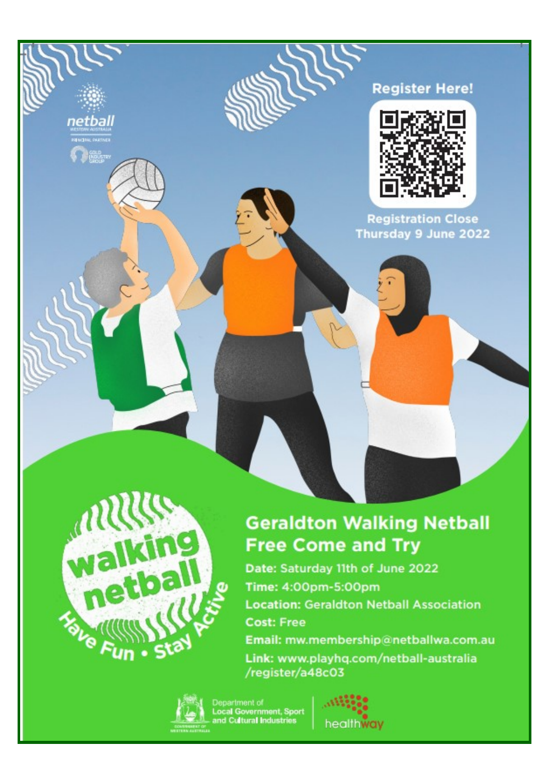# **Register Here!**



**Registration Close** Thursday 9 June 2022



netball **RENCENL PARTNE Designed** 

# **Geraldton Walking Netball Free Come and Try**

Date: Saturday 11th of June 2022 Time: 4:00pm-5:00pm **Location: Geraldton Netball Association Cost: Free** Email: mw.membership@netballwa.com.au Link: www.playhq.com/netball-australia /register/a48c03



Department of<br>Local Government, Sport<br>and Cultural Industries